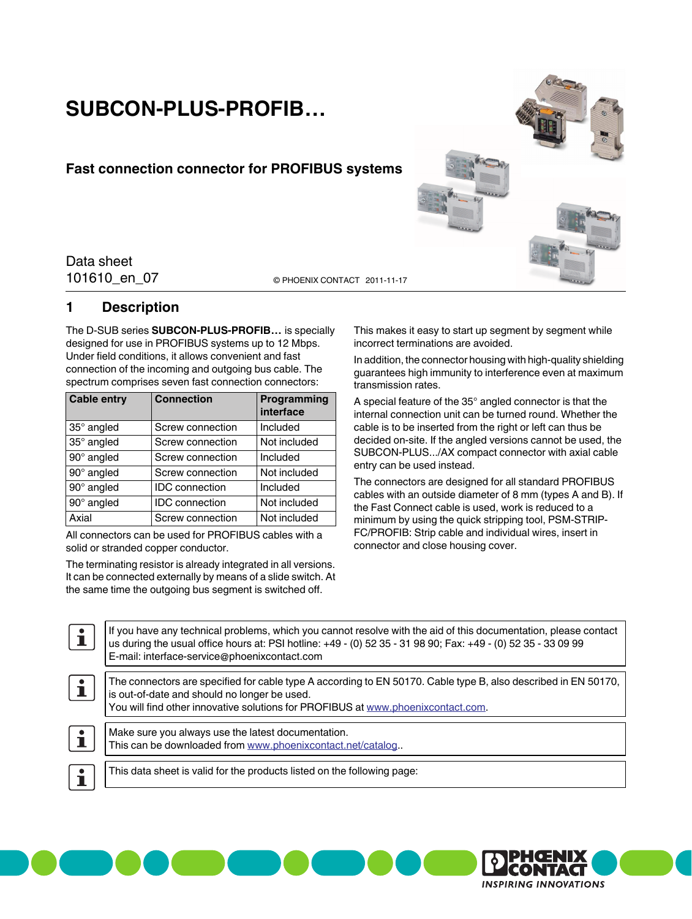# **SUBCON-PLUS-PROFIB…**

## **Fast connection connector for PROFIBUS systems**

101610\_en\_07 Data sheet

© PHOENIX CONTACT 2011-11-17

## <span id="page-0-0"></span>**1 Description**

The D-SUB series **SUBCON-PLUS-PROFIB…** is specially designed for use in PROFIBUS systems up to 12 Mbps. Under field conditions, it allows convenient and fast connection of the incoming and outgoing bus cable. The spectrum comprises seven fast connection connectors:

| <b>Cable entry</b> | <b>Connection</b>     | Programming<br>interface |
|--------------------|-----------------------|--------------------------|
| 35° angled         | Screw connection      | Included                 |
| 35° angled         | Screw connection      | Not included             |
| 90° angled         | Screw connection      | Included                 |
| 90° angled         | Screw connection      | Not included             |
| 90° angled         | <b>IDC</b> connection | Included                 |
| 90° angled         | <b>IDC</b> connection | Not included             |
| Axial              | Screw connection      | Not included             |

All connectors can be used for PROFIBUS cables with a solid or stranded copper conductor.

The terminating resistor is already integrated in all versions. It can be connected externally by means of a slide switch. At the same time the outgoing bus segment is switched off.

This makes it easy to start up segment by segment while incorrect terminations are avoided.

In addition, the connector housing with high-quality shielding guarantees high immunity to interference even at maximum transmission rates.

A special feature of the 35° angled connector is that the internal connection unit can be turned round. Whether the cable is to be inserted from the right or left can thus be decided on-site. If the angled versions cannot be used, the SUBCON-PLUS.../AX compact connector with axial cable entry can be used instead.

The connectors are designed for all standard PROFIBUS cables with an outside diameter of 8 mm (types A and B). If the Fast Connect cable is used, work is reduced to a minimum by using the quick stripping tool, PSM-STRIP-FC/PROFIB: Strip cable and individual wires, insert in connector and close housing cover.

 $\mathbf i$ If you have any technical problems, which you cannot resolve with the aid of this documentation, please contact us during the usual office hours at: PSI hotline: +49 - (0) 52 35 - 31 98 90; Fax: +49 - (0) 52 35 - 33 09 99 E-mail: interface-service@phoenixcontact.com The connectors are specified for cable type A according to EN 50170. Cable type B, also described in EN 50170,  $\mathbf i$ is out-of-date and should no longer be used. You will find other innovative solutions for PROFIBUS at [www.phoenixcontact.com](http://www.phoenixcontact.com).  $\mathbf{i}$ Make sure you always use the latest documentation. This can be downloaded from [www.phoenixcontact.net/catalog](http://www.phoenixcontact.net/catalog)..  $\overline{\mathbf{i}}$ This data sheet is valid for the products listed on the following page:

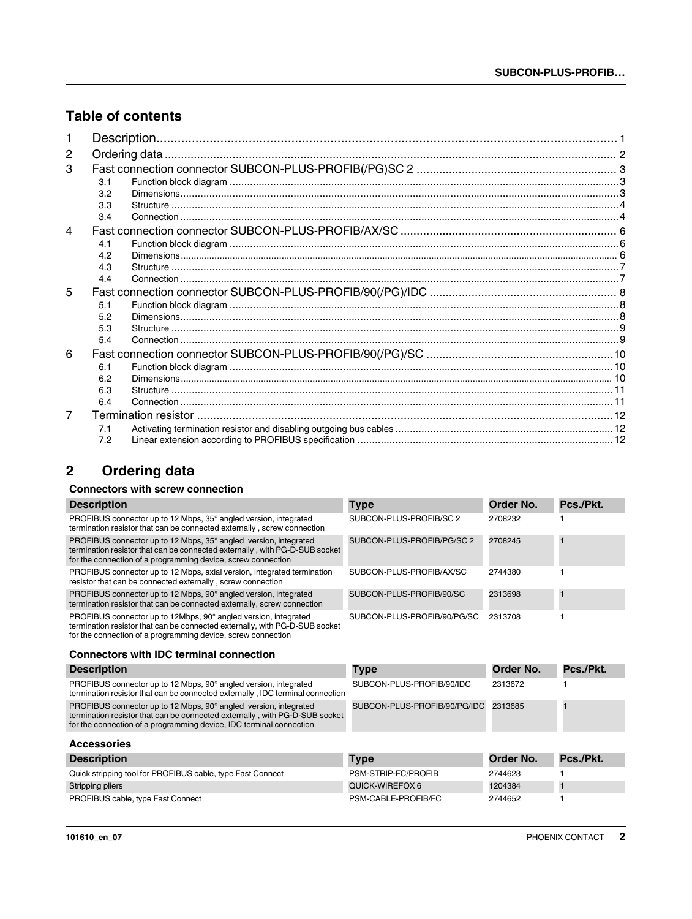## **Table of contents**

| 2              |     |  |
|----------------|-----|--|
| 3              |     |  |
|                | 3.1 |  |
|                | 3.2 |  |
|                | 3.3 |  |
|                | 3.4 |  |
| 4              |     |  |
|                | 4.1 |  |
|                | 4.2 |  |
|                | 4.3 |  |
|                | 4.4 |  |
| 5              |     |  |
|                | 5.1 |  |
|                | 5.2 |  |
|                | 5.3 |  |
|                | 5.4 |  |
| 6              |     |  |
|                | 6.1 |  |
|                | 6.2 |  |
|                | 6.3 |  |
|                | 6.4 |  |
| $\overline{7}$ |     |  |
|                | 7.1 |  |
|                | 7.2 |  |

## <span id="page-1-0"></span>**2 Ordering data**

## **Connectors with screw connection**

| <b>Description</b>                                                                                                                                                                                                     | <b>Type</b>                  | Order No.        | Pcs./Pkt.    |
|------------------------------------------------------------------------------------------------------------------------------------------------------------------------------------------------------------------------|------------------------------|------------------|--------------|
| PROFIBUS connector up to 12 Mbps, 35° angled version, integrated<br>termination resistor that can be connected externally, screw connection                                                                            | SUBCON-PLUS-PROFIB/SC 2      | 2708232          |              |
| PROFIBUS connector up to 12 Mbps, 35° angled version, integrated<br>termination resistor that can be connected externally, with PG-D-SUB socket<br>for the connection of a programming device, screw connection        | SUBCON-PLUS-PROFIB/PG/SC 2   | 2708245          | п            |
| PROFIBUS connector up to 12 Mbps, axial version, integrated termination<br>resistor that can be connected externally, screw connection                                                                                 | SUBCON-PLUS-PROFIB/AX/SC     | 2744380          |              |
| PROFIBUS connector up to 12 Mbps, 90° angled version, integrated<br>termination resistor that can be connected externally, screw connection                                                                            | SUBCON-PLUS-PROFIB/90/SC     | 2313698          | $\mathbf{1}$ |
| PROFIBUS connector up to 12Mbps, 90° angled version, integrated<br>termination resistor that can be connected externally, with PG-D-SUB socket<br>for the connection of a programming device, screw connection         | SUBCON-PLUS-PROFIB/90/PG/SC  | 2313708          |              |
|                                                                                                                                                                                                                        |                              |                  |              |
| <b>Connectors with IDC terminal connection</b>                                                                                                                                                                         |                              |                  |              |
| <b>Description</b>                                                                                                                                                                                                     | <b>Type</b>                  | Order No.        | Pcs./Pkt.    |
| PROFIBUS connector up to 12 Mbps, 90° angled version, integrated<br>termination resistor that can be connected externally, IDC terminal connection                                                                     | SUBCON-PLUS-PROFIB/90/IDC    | 2313672          |              |
| PROFIBUS connector up to 12 Mbps, 90° angled version, integrated<br>termination resistor that can be connected externally, with PG-D-SUB socket<br>for the connection of a programming device, IDC terminal connection | SUBCON-PLUS-PROFIB/90/PG/IDC | 2313685          |              |
| <b>Accessories</b>                                                                                                                                                                                                     |                              |                  |              |
| <b>Description</b>                                                                                                                                                                                                     | Type                         | <b>Order No.</b> | Pcs./Pkt.    |
| Quick stripping tool for PROFIBUS cable, type Fast Connect                                                                                                                                                             | PSM-STRIP-FC/PROFIB          | 2744623          |              |

PROFIBUS cable, type Fast Connect **PSM-CABLE-PROFIB/FC** 2744652 1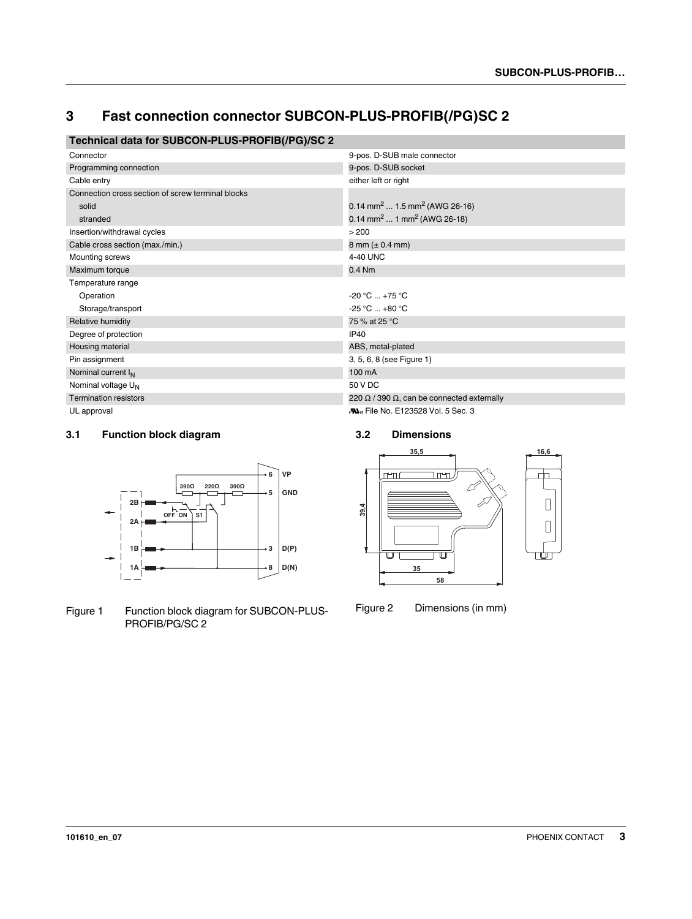## <span id="page-2-0"></span>**3 Fast connection connector SUBCON-PLUS-PROFIB(/PG)SC 2**

## **Technical data for SUBCON-PLUS-PROFIB(/PG)/SC 2**

| Connector                                         | 9-pos. D-SUB male connector                               |
|---------------------------------------------------|-----------------------------------------------------------|
| Programming connection                            | 9-pos. D-SUB socket                                       |
| Cable entry                                       | either left or right                                      |
| Connection cross section of screw terminal blocks |                                                           |
| solid                                             | 0.14 mm <sup>2</sup> 1.5 mm <sup>2</sup> (AWG 26-16)      |
| stranded                                          | 0.14 mm <sup>2</sup> 1 mm <sup>2</sup> (AWG 26-18)        |
| Insertion/withdrawal cycles                       | > 200                                                     |
| Cable cross section (max./min.)                   | $8 \text{ mm} (\pm 0.4 \text{ mm})$                       |
| Mounting screws                                   | 4-40 UNC                                                  |
| Maximum torque                                    | $0.4$ Nm                                                  |
| Temperature range                                 |                                                           |
| Operation                                         | $-20 °C  +75 °C$                                          |
| Storage/transport                                 | $-25 °C  +80 °C$                                          |
| Relative humidity                                 | 75 % at 25 °C                                             |
| Degree of protection                              | <b>IP40</b>                                               |
| Housing material                                  | ABS, metal-plated                                         |
| Pin assignment                                    | 3, 5, 6, 8 (see Figure 1)                                 |
| Nominal current I <sub>N</sub>                    | 100 mA                                                    |
| Nominal voltage U <sub>N</sub>                    | 50 V DC                                                   |
| <b>Termination resistors</b>                      | 220 $\Omega$ / 390 $\Omega$ , can be connected externally |
| UL approval                                       | <b>No. File No. E123528 Vol. 5 Sec. 3</b>                 |

#### <span id="page-2-1"></span>**3.1 Function block diagram**



Figure 1 Function block diagram for SUBCON-PLUS-PROFIB/PG/SC 2

#### <span id="page-2-2"></span>**3.2 Dimensions**



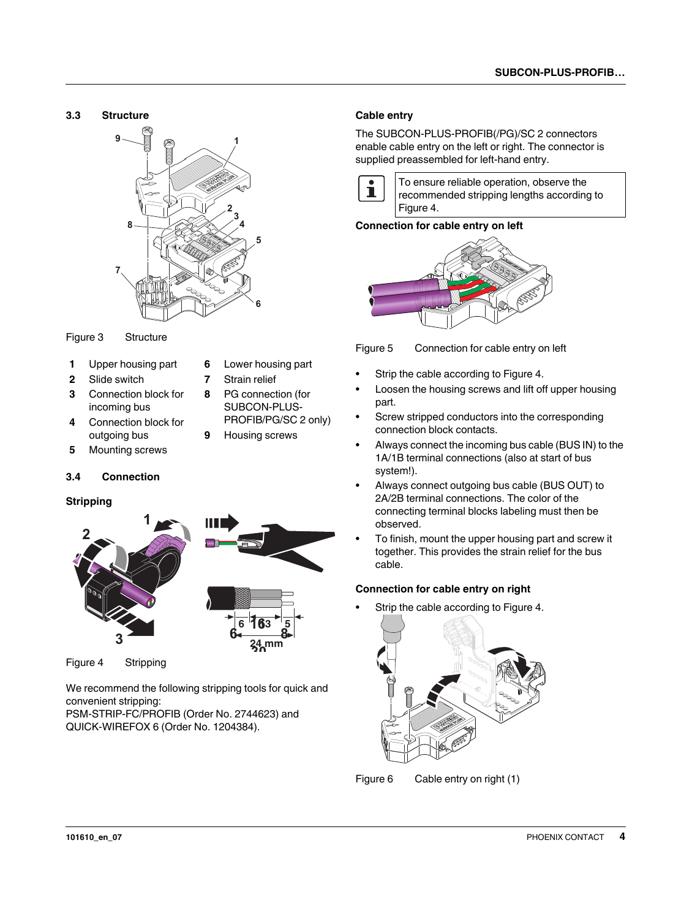<span id="page-3-0"></span>



- **1** Upper housing part **6** Lower housing part
- **2** Slide switch **7** Strain relief
- **3** Connection block for incoming bus
- **4** Connection block for outgoing bus
- **5** Mounting screws

#### <span id="page-3-1"></span>**3.4 Connection**

#### **Stripping**





 $\leq$ 

**24 mm**

Figure 4 Stripping

We recommend the following stripping tools for quick and convenient stripping:

PSM-STRIP-FC/PROFIB (Order No. 2744623) and QUICK-WIREFOX 6 (Order No. 1204384).

#### **Cable entry**

The SUBCON-PLUS-PROFIB(/PG)/SC 2 connectors enable cable entry on the left or right. The connector is supplied preassembled for left-hand entry.



To ensure reliable operation, observe the recommended stripping lengths according to Figure 4.

#### **Connection for cable entry on left**



Figure 5 Connection for cable entry on left

- **•** Strip the cable according to Figure 4.
- **•** Loosen the housing screws and lift off upper housing part.
- **•** Screw stripped conductors into the corresponding connection block contacts.
- **•** Always connect the incoming bus cable (BUS IN) to the 1A/1B terminal connections (also at start of bus system!).
- **•** Always connect outgoing bus cable (BUS OUT) to 2A/2B terminal connections. The color of the connecting terminal blocks labeling must then be observed.
- **•** To finish, mount the upper housing part and screw it together. This provides the strain relief for the bus cable.

#### **Connection for cable entry on right**

**•** Strip the cable according to Figure 4.



Figure 6 Cable entry on right (1)

- 
- **8** PG connection (for SUBCON-PLUS-
- PROFIB/PG/SC 2 only)
- **9** Housing screws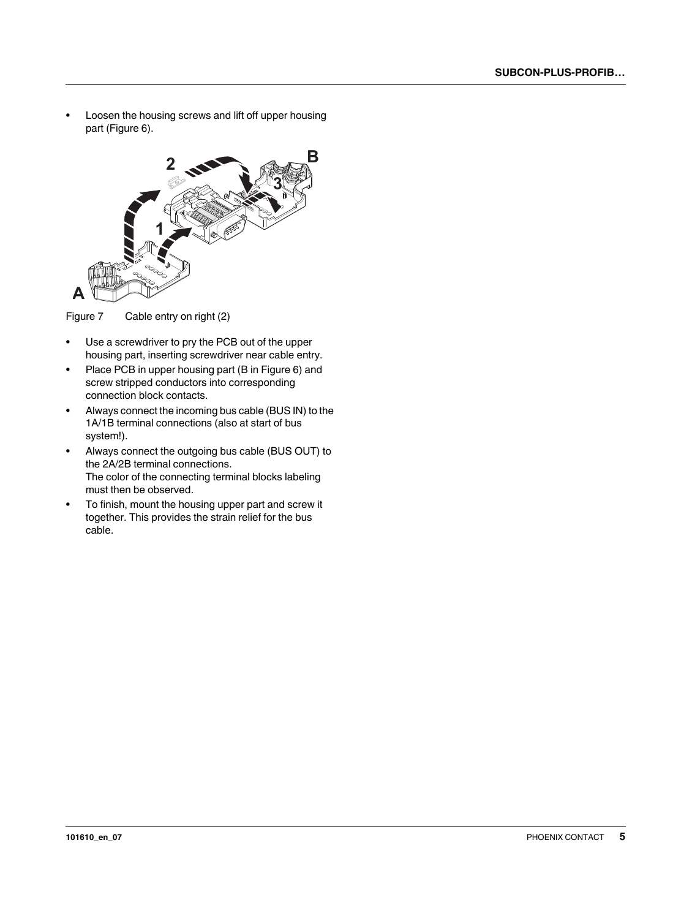**•** Loosen the housing screws and lift off upper housing part (Figure 6).



Figure 7 Cable entry on right (2)

- **•** Use a screwdriver to pry the PCB out of the upper housing part, inserting screwdriver near cable entry.
- **•** Place PCB in upper housing part (B in Figure 6) and screw stripped conductors into corresponding connection block contacts.
- **•** Always connect the incoming bus cable (BUS IN) to the 1A/1B terminal connections (also at start of bus system!).
- **•** Always connect the outgoing bus cable (BUS OUT) to the 2A/2B terminal connections. The color of the connecting terminal blocks labeling must then be observed.
- **•** To finish, mount the housing upper part and screw it together. This provides the strain relief for the bus cable.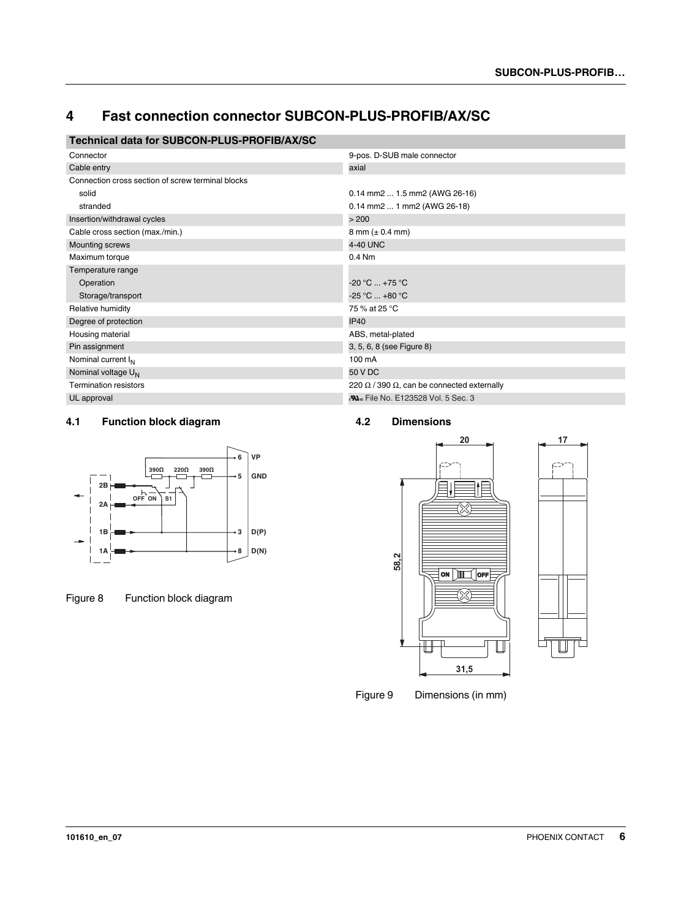## <span id="page-5-0"></span>**4 Fast connection connector SUBCON-PLUS-PROFIB/AX/SC**

## **Technical data for SUBCON-PLUS-PROFIB/AX/SC**

| Connector                                         | 9-pos. D-SUB male connector                               |
|---------------------------------------------------|-----------------------------------------------------------|
| Cable entry                                       | axial                                                     |
| Connection cross section of screw terminal blocks |                                                           |
| solid                                             | $0.14$ mm2 $1.5$ mm2 (AWG 26-16)                          |
| stranded                                          | 0.14 mm2  1 mm2 (AWG 26-18)                               |
| Insertion/withdrawal cycles                       | > 200                                                     |
| Cable cross section (max./min.)                   | 8 mm $(\pm 0.4$ mm)                                       |
| Mounting screws                                   | 4-40 UNC                                                  |
| Maximum torque                                    | 0.4 Nm                                                    |
| Temperature range                                 |                                                           |
| Operation                                         | $-20 °C  +75 °C$                                          |
| Storage/transport                                 | $-25 °C  +80 °C$                                          |
| Relative humidity                                 | 75 % at 25 °C                                             |
| Degree of protection                              | <b>IP40</b>                                               |
| Housing material                                  | ABS, metal-plated                                         |
| Pin assignment                                    | 3, 5, 6, 8 (see Figure 8)                                 |
| Nominal current I <sub>N</sub>                    | 100 mA                                                    |
| Nominal voltage U <sub>N</sub>                    | 50 V DC                                                   |
| <b>Termination resistors</b>                      | 220 $\Omega$ / 390 $\Omega$ , can be connected externally |
| UL approval                                       | <b>No. File No. E123528 Vol. 5 Sec. 3</b>                 |
|                                                   |                                                           |

### <span id="page-5-1"></span>**4.1 Function block diagram**



Figure 8 Function block diagram

#### <span id="page-5-2"></span>**4.2 Dimensions**



Figure 9 Dimensions (in mm)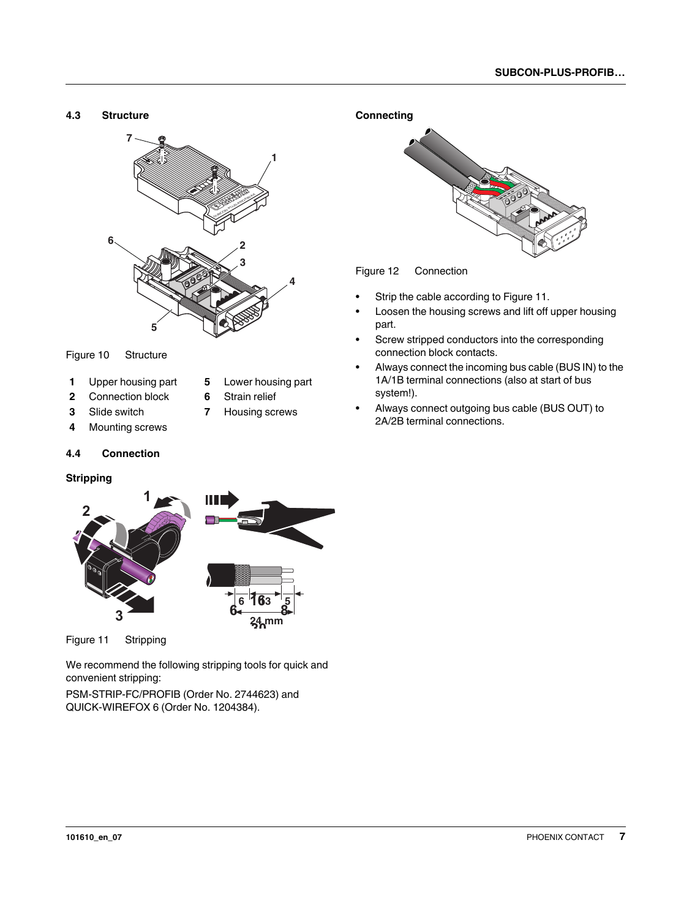<span id="page-6-0"></span>

#### Figure 10 Structure

- **1** Upper housing part **5** Lower housing part
- **2** Connection block **6** Strain relief
- **3** Slide switch **7** Housing screws
- 
- **4** Mounting screws

#### <span id="page-6-1"></span>**4.4 Connection**

#### **Stripping**



Figure 11 Stripping

We recommend the following stripping tools for quick and convenient stripping:

PSM-STRIP-FC/PROFIB (Order No. 2744623) and QUICK-WIREFOX 6 (Order No. 1204384).



Figure 12 Connection

- **•** Strip the cable according to Figure 11.
- **•** Loosen the housing screws and lift off upper housing part.
- **•** Screw stripped conductors into the corresponding connection block contacts.
- **•** Always connect the incoming bus cable (BUS IN) to the 1A/1B terminal connections (also at start of bus system!).
- **•** Always connect outgoing bus cable (BUS OUT) to 2A/2B terminal connections.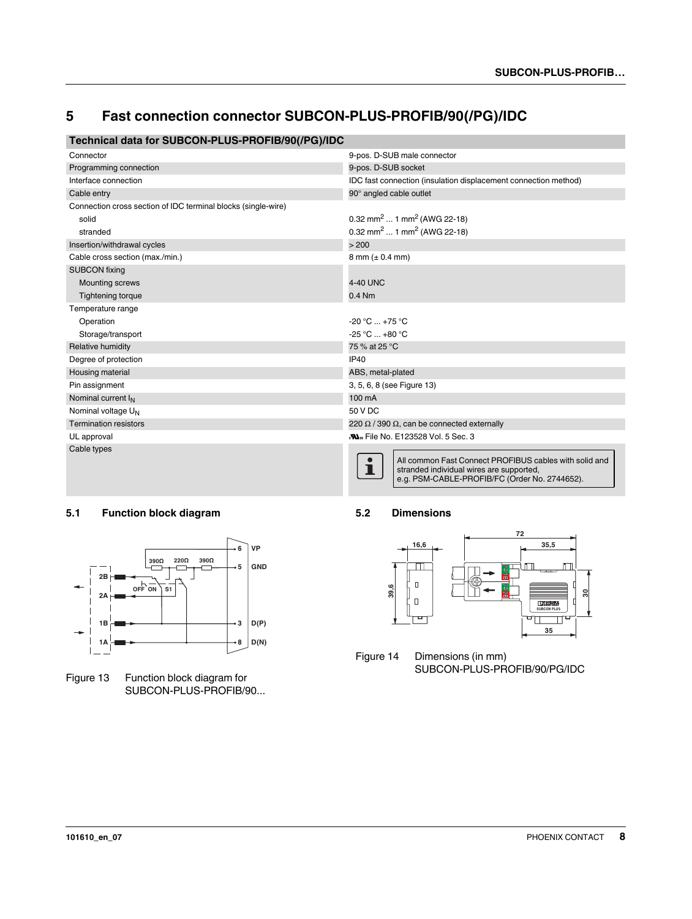## <span id="page-7-0"></span>**5 Fast connection connector SUBCON-PLUS-PROFIB/90(/PG)/IDC**

## **Technical data for SUBCON-PLUS-PROFIB/90(/PG)/IDC**

| Connector                                                     | 9-pos. D-SUB male connector                                                                                                                              |  |
|---------------------------------------------------------------|----------------------------------------------------------------------------------------------------------------------------------------------------------|--|
| Programming connection                                        | 9-pos. D-SUB socket                                                                                                                                      |  |
| Interface connection                                          | IDC fast connection (insulation displacement connection method)                                                                                          |  |
| Cable entry                                                   | 90° angled cable outlet                                                                                                                                  |  |
| Connection cross section of IDC terminal blocks (single-wire) |                                                                                                                                                          |  |
| solid                                                         | 0.32 mm <sup>2</sup> 1 mm <sup>2</sup> (AWG 22-18)                                                                                                       |  |
| stranded                                                      | 0.32 mm <sup>2</sup> 1 mm <sup>2</sup> (AWG 22-18)                                                                                                       |  |
| Insertion/withdrawal cycles                                   | > 200                                                                                                                                                    |  |
| Cable cross section (max./min.)                               | $8 \text{ mm} (\pm 0.4 \text{ mm})$                                                                                                                      |  |
| <b>SUBCON</b> fixing                                          |                                                                                                                                                          |  |
| <b>Mounting screws</b>                                        | 4-40 UNC                                                                                                                                                 |  |
| <b>Tightening torque</b>                                      | $0.4$ Nm                                                                                                                                                 |  |
| Temperature range                                             |                                                                                                                                                          |  |
| Operation                                                     | $-20 °C  +75 °C$                                                                                                                                         |  |
| Storage/transport                                             | $-25 °C  +80 °C$                                                                                                                                         |  |
| Relative humidity                                             | 75 % at 25 °C                                                                                                                                            |  |
| Degree of protection                                          | <b>IP40</b>                                                                                                                                              |  |
| Housing material                                              | ABS, metal-plated                                                                                                                                        |  |
| Pin assignment                                                | 3, 5, 6, 8 (see Figure 13)                                                                                                                               |  |
| Nominal current I <sub>N</sub>                                | 100 mA                                                                                                                                                   |  |
| Nominal voltage U <sub>N</sub>                                | 50 V DC                                                                                                                                                  |  |
| <b>Termination resistors</b>                                  | 220 $\Omega$ / 390 $\Omega$ , can be connected externally                                                                                                |  |
| UL approval                                                   | <b>No.</b> File No. E123528 Vol. 5 Sec. 3                                                                                                                |  |
| Cable types                                                   | All common Fast Connect PROFIBUS cables with solid and<br>П<br>stranded individual wires are supported,<br>e.g. PSM-CABLE-PROFIB/FC (Order No. 2744652). |  |

#### <span id="page-7-1"></span>**5.1 Function block diagram**



Figure 13 Function block diagram for SUBCON-PLUS-PROFIB/90...

#### <span id="page-7-2"></span>**5.2 Dimensions**



Figure 14 Dimensions (in mm) SUBCON-PLUS-PROFIB/90/PG/IDC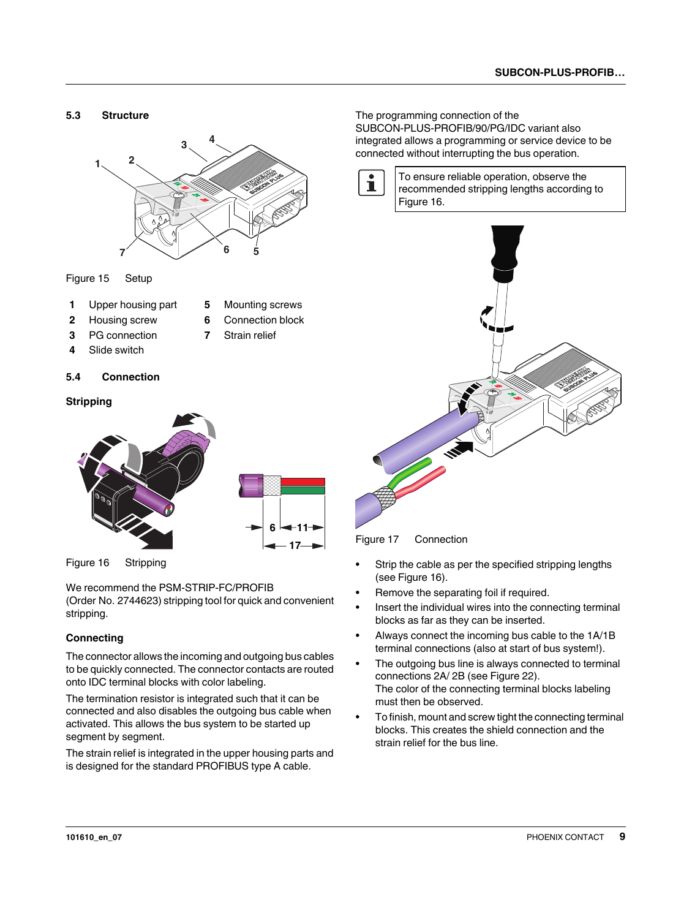<span id="page-8-0"></span>

Figure 15 Setup

- **1** Upper housing part **5** Mounting screws
- **2** Housing screw **6** Connection block
- -
- **3** PG connection **7** Strain relief
- **4** Slide switch

#### <span id="page-8-1"></span>**5.4 Connection**

#### **Stripping**



Figure 16 Stripping

We recommend the PSM-STRIP-FC/PROFIB

(Order No. 2744623) stripping tool for quick and convenient stripping.

#### **Connecting**

The connector allows the incoming and outgoing bus cables to be quickly connected. The connector contacts are routed onto IDC terminal blocks with color labeling.

The termination resistor is integrated such that it can be connected and also disables the outgoing bus cable when activated. This allows the bus system to be started up segment by segment.

The strain relief is integrated in the upper housing parts and is designed for the standard PROFIBUS type A cable.

The programming connection of the SUBCON-PLUS-PROFIB/90/PG/IDC variant also integrated allows a programming or service device to be connected without interrupting the bus operation.

 $\mathbf{i}$ 

To ensure reliable operation, observe the recommended stripping lengths according to Figure 16.



Figure 17 Connection

- **•** Strip the cable as per the specified stripping lengths (see Figure 16).
- **•** Remove the separating foil if required.
- **•** Insert the individual wires into the connecting terminal blocks as far as they can be inserted.
- **•** Always connect the incoming bus cable to the 1A/1B terminal connections (also at start of bus system!).
- **•** The outgoing bus line is always connected to terminal connections 2A/ 2B (see Figure 22). The color of the connecting terminal blocks labeling must then be observed.
- **•** To finish, mount and screw tight the connecting terminal blocks. This creates the shield connection and the strain relief for the bus line.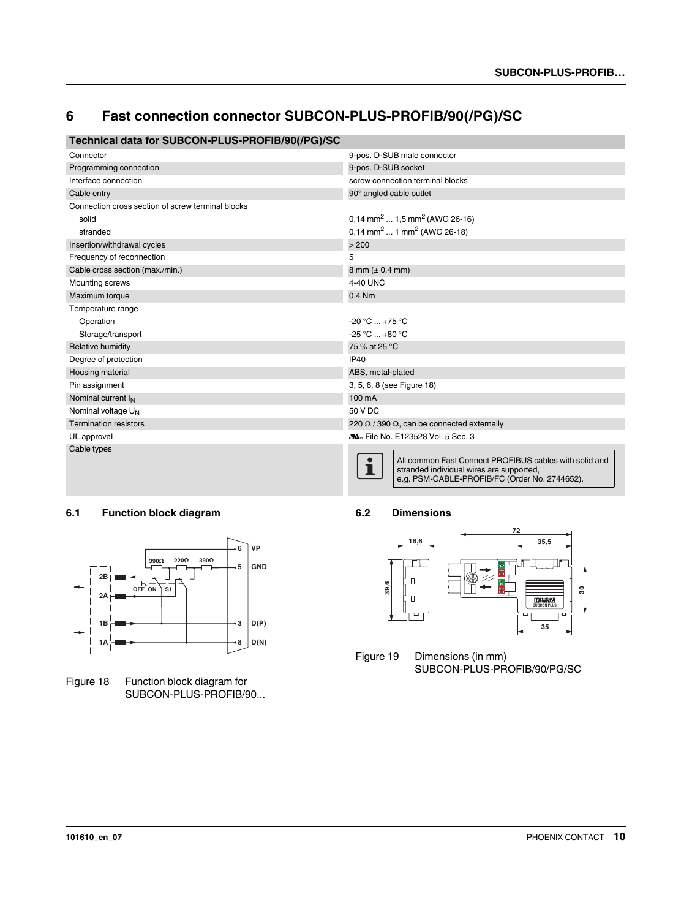## <span id="page-9-0"></span>**6 Fast connection connector SUBCON-PLUS-PROFIB/90(/PG)/SC**

## **Technical data for SUBCON-PLUS-PROFIB/90(/PG)/SC**

| Connector                                         | 9-pos. D-SUB male connector                                                                                                                              |  |
|---------------------------------------------------|----------------------------------------------------------------------------------------------------------------------------------------------------------|--|
| Programming connection                            | 9-pos. D-SUB socket                                                                                                                                      |  |
| Interface connection                              | screw connection terminal blocks                                                                                                                         |  |
| Cable entry                                       | 90° angled cable outlet                                                                                                                                  |  |
| Connection cross section of screw terminal blocks |                                                                                                                                                          |  |
| solid                                             | 0,14 mm <sup>2</sup> 1,5 mm <sup>2</sup> (AWG 26-16)                                                                                                     |  |
| stranded                                          | $0.14$ mm <sup>2</sup> 1 mm <sup>2</sup> (AWG 26-18)                                                                                                     |  |
| Insertion/withdrawal cycles                       | > 200                                                                                                                                                    |  |
| Frequency of reconnection                         | 5                                                                                                                                                        |  |
| Cable cross section (max./min.)                   | 8 mm $(\pm 0.4$ mm)                                                                                                                                      |  |
| Mounting screws                                   | 4-40 UNC                                                                                                                                                 |  |
| Maximum torque                                    | $0.4$ Nm                                                                                                                                                 |  |
| Temperature range                                 |                                                                                                                                                          |  |
| Operation                                         | $-20 °C  +75 °C$                                                                                                                                         |  |
| Storage/transport                                 | $-25 °C  +80 °C$                                                                                                                                         |  |
| Relative humidity                                 | 75 % at 25 °C                                                                                                                                            |  |
| Degree of protection                              | <b>IP40</b>                                                                                                                                              |  |
| Housing material                                  | ABS, metal-plated                                                                                                                                        |  |
| Pin assignment                                    | 3, 5, 6, 8 (see Figure 18)                                                                                                                               |  |
| Nominal current I <sub>N</sub>                    | 100 mA                                                                                                                                                   |  |
| Nominal voltage U <sub>N</sub>                    | 50 V DC                                                                                                                                                  |  |
| <b>Termination resistors</b>                      | 220 $\Omega$ / 390 $\Omega$ , can be connected externally                                                                                                |  |
| UL approval                                       | <b>No. File No. E123528 Vol. 5 Sec. 3</b>                                                                                                                |  |
| Cable types                                       | All common Fast Connect PROFIBUS cables with solid and<br>ı<br>stranded individual wires are supported,<br>e.g. PSM-CABLE-PROFIB/FC (Order No. 2744652). |  |

### <span id="page-9-1"></span>**6.1 Function block diagram**



Figure 18 Function block diagram for SUBCON-PLUS-PROFIB/90...

#### <span id="page-9-2"></span>**6.2 Dimensions**



Figure 19 Dimensions (in mm) SUBCON-PLUS-PROFIB/90/PG/SC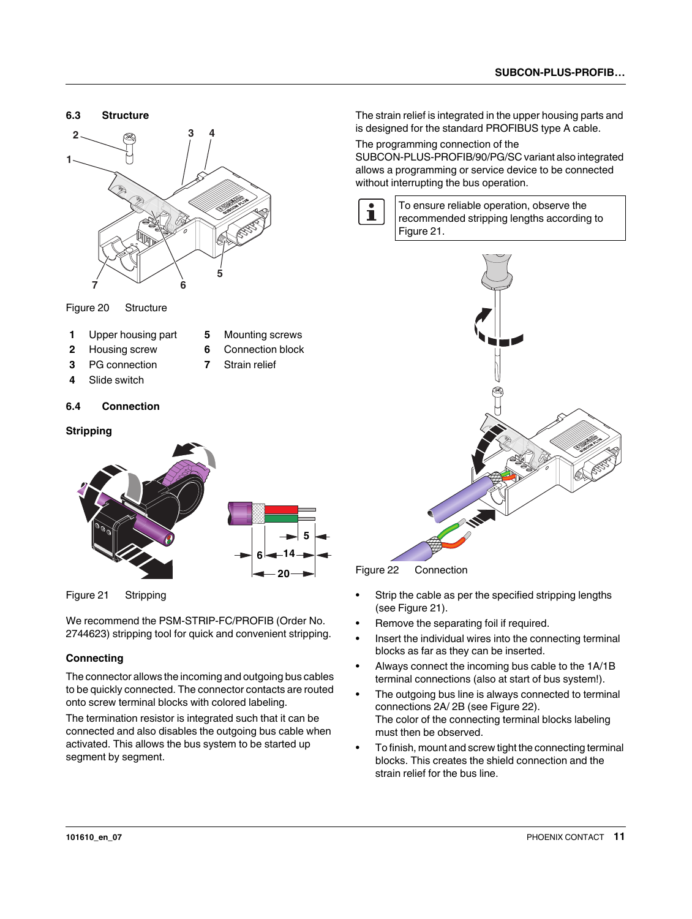<span id="page-10-0"></span>

Figure 20 Structure

- **1** Upper housing part **5** Mounting screws
	-
- **2** Housing screw **6** Connection block
	-
- **3** PG connection **7** Strain relief
- **4** Slide switch

#### <span id="page-10-1"></span>**6.4 Connection**

#### **Stripping**



Figure 21 Stripping

We recommend the PSM-STRIP-FC/PROFIB (Order No. 2744623) stripping tool for quick and convenient stripping.

#### **Connecting**

The connector allows the incoming and outgoing bus cables to be quickly connected. The connector contacts are routed onto screw terminal blocks with colored labeling.

The termination resistor is integrated such that it can be connected and also disables the outgoing bus cable when activated. This allows the bus system to be started up segment by segment.

The strain relief is integrated in the upper housing parts and is designed for the standard PROFIBUS type A cable.

The programming connection of the

SUBCON-PLUS-PROFIB/90/PG/SC variant also integrated allows a programming or service device to be connected without interrupting the bus operation.



To ensure reliable operation, observe the recommended stripping lengths according to Figure 21.



Figure 22 Connection

- **•** Strip the cable as per the specified stripping lengths (see Figure 21).
- **•** Remove the separating foil if required.
- **•** Insert the individual wires into the connecting terminal blocks as far as they can be inserted.
- **•** Always connect the incoming bus cable to the 1A/1B terminal connections (also at start of bus system!).
- **•** The outgoing bus line is always connected to terminal connections 2A/ 2B (see Figure 22). The color of the connecting terminal blocks labeling must then be observed.
- **•** To finish, mount and screw tight the connecting terminal blocks. This creates the shield connection and the strain relief for the bus line.